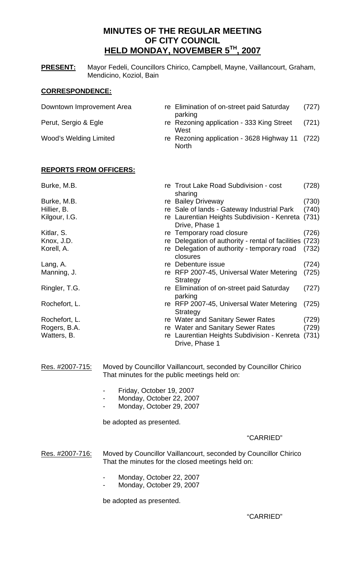# **MINUTES OF THE REGULAR MEETING OF CITY COUNCIL HELD MONDAY, NOVEMBER 5TH, 2007**

**PRESENT:** Mayor Fedeli, Councillors Chirico, Campbell, Mayne, Vaillancourt, Graham, Mendicino, Koziol, Bain

## **CORRESPONDENCE:**

| Downtown Improvement Area     | re Elimination of on-street paid Saturday<br>parking            | (727) |
|-------------------------------|-----------------------------------------------------------------|-------|
| Perut, Sergio & Egle          | re Rezoning application - 333 King Street<br>West               | (721) |
| <b>Wood's Welding Limited</b> | re Rezoning application - 3628 Highway 11 (722)<br><b>North</b> |       |

sharing

closures

Strategy

parking

**Strategy** 

Drive, Phase 1

re Delegation of authority - temporary road (732)

## **REPORTS FROM OFFICERS:**

Burke, M.B. The Trout Lake Road Subdivision - cost (728)

Burke, M.B. Case of the Bailey Driveway (730) Hillier, B. The Sale of lands - Gateway Industrial Park (740) Kilgour, I.G. **Register 20 Figure 1: Register 1: Algebra 1: Algebra 1: Algebra 1: Algebra 1: Algebra 1: Algebra 1: Algebra 1: Algebra 1: Algebra 1: Algebra 1: Algebra 1: Algebra 1: Algebra 1: Algebra 1: Algebra 1: Algebra** 

Kitlar, S. Charles Contract Contract Temporary road closure (726) Knox, J.D. **Reduction State Control Control Control** re Delegation of authority - rental of facilities (723)<br>Korell, A. **Reduction State Control Control Control** Control Control Control Control Control Control Control Con

Lang, A. Carry Communication Communication Communication (724) and the Debenture issue (724) Manning, J. Manning, J. re RFP 2007-45, Universal Water Metering (725)

Ringler, T.G. The Communication of on-street paid Saturday (727)

Rochefort, L. **Rochefort, L.** re RFP 2007-45, Universal Water Metering (725)

Rochefort, L. **Rochefort, L.** re Water and Sanitary Sewer Rates (729) Rogers, B.A. The Contract Contract Contract Contract Contract Contract Contract Contract Contract Contract Contract Contract CO (729) Watters, B. The Caurentian Heights Subdivision - Kenreta (731)

Res. #2007-715: Moved by Councillor Vaillancourt, seconded by Councillor Chirico That minutes for the public meetings held on:

Drive, Phase 1

- Friday, October 19, 2007
- Monday, October 22, 2007
- Monday, October 29, 2007

be adopted as presented.

"CARRIED"

Res. #2007-716: Moved by Councillor Vaillancourt, seconded by Councillor Chirico That the minutes for the closed meetings held on:

- Monday, October 22, 2007
- Monday, October 29, 2007

be adopted as presented.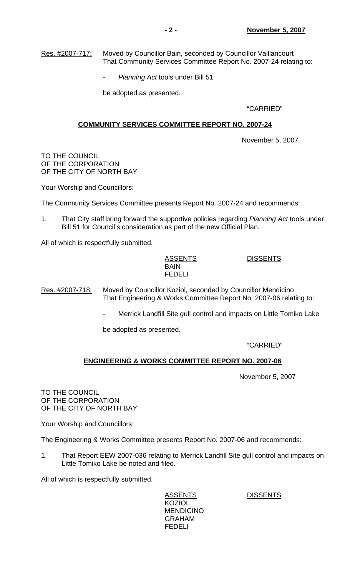Res. #2007-717: Moved by Councillor Bain, seconded by Councillor Vaillancourt That Community Services Committee Report No. 2007-24 relating to:

- *Planning Act* tools under Bill 51

be adopted as presented.

## "CARRIED"

## **COMMUNITY SERVICES COMMITTEE REPORT NO. 2007-24**

November 5, 2007

TO THE COUNCIL OF THE CORPORATION OF THE CITY OF NORTH BAY

Your Worship and Councillors:

The Community Services Committee presents Report No. 2007-24 and recommends:

1. That City staff bring forward the supportive policies regarding *Planning Act* tools under Bill 51 for Council's consideration as part of the new Official Plan.

All of which is respectfully submitted.

 BAIN FEDELI

ASSENTS DISSENTS

Res. #2007-718: Moved by Councillor Koziol, seconded by Councillor Mendicino That Engineering & Works Committee Report No. 2007-06 relating to:

Merrick Landfill Site gull control and impacts on Little Tomiko Lake

be adopted as presented.

"CARRIED"

## **ENGINEERING & WORKS COMMITTEE REPORT NO. 2007-06**

November 5, 2007

TO THE COUNCIL OF THE CORPORATION OF THE CITY OF NORTH BAY

Your Worship and Councillors:

The Engineering & Works Committee presents Report No. 2007-06 and recommends:

1. That Report EEW 2007-036 relating to Merrick Landfill Site gull control and impacts on Little Tomiko Lake be noted and filed.

All of which is respectfully submitted.

ASSENT<u>S</u> DISSENTS KOZIOL MENDICINO GRAHAM FEDELI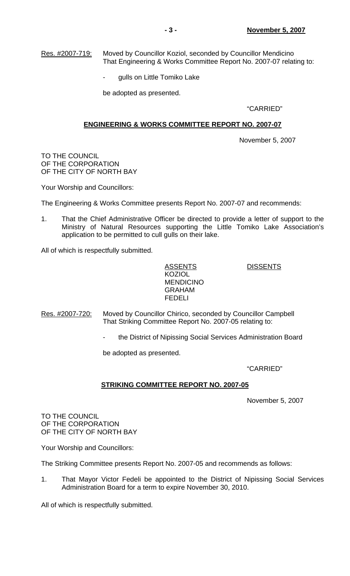Res. #2007-719: Moved by Councillor Koziol, seconded by Councillor Mendicino That Engineering & Works Committee Report No. 2007-07 relating to:

gulls on Little Tomiko Lake

be adopted as presented.

## "CARRIED"

## **ENGINEERING & WORKS COMMITTEE REPORT NO. 2007-07**

November 5, 2007

TO THE COUNCIL OF THE CORPORATION OF THE CITY OF NORTH BAY

Your Worship and Councillors:

The Engineering & Works Committee presents Report No. 2007-07 and recommends:

1. That the Chief Administrative Officer be directed to provide a letter of support to the Ministry of Natural Resources supporting the Little Tomiko Lake Association's application to be permitted to cull gulls on their lake.

All of which is respectfully submitted.

 ASSENTS DISSENTS KOZIOL MENDICINO GRAHAM FEDELI

Res. #2007-720: Moved by Councillor Chirico, seconded by Councillor Campbell That Striking Committee Report No. 2007-05 relating to:

the District of Nipissing Social Services Administration Board

be adopted as presented.

"CARRIED"

## **STRIKING COMMITTEE REPORT NO. 2007-05**

November 5, 2007

TO THE COUNCIL OF THE CORPORATION OF THE CITY OF NORTH BAY

Your Worship and Councillors:

The Striking Committee presents Report No. 2007-05 and recommends as follows:

1. That Mayor Victor Fedeli be appointed to the District of Nipissing Social Services Administration Board for a term to expire November 30, 2010.

All of which is respectfully submitted.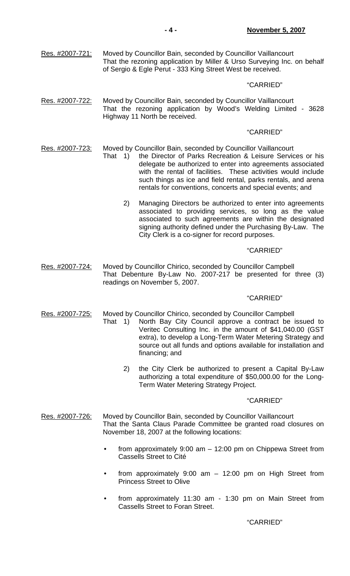## "CARRIED"

Res. #2007-722: Moved by Councillor Bain, seconded by Councillor Vaillancourt That the rezoning application by Wood's Welding Limited - 3628 Highway 11 North be received.

### "CARRIED"

## Res. #2007-723: Moved by Councillor Bain, seconded by Councillor Vaillancourt

- That 1) the Director of Parks Recreation & Leisure Services or his delegate be authorized to enter into agreements associated with the rental of facilities. These activities would include such things as ice and field rental, parks rentals, and arena rentals for conventions, concerts and special events; and
	- 2) Managing Directors be authorized to enter into agreements associated to providing services, so long as the value associated to such agreements are within the designated signing authority defined under the Purchasing By-Law. The City Clerk is a co-signer for record purposes.

#### "CARRIED"

Res. #2007-724: Moved by Councillor Chirico, seconded by Councillor Campbell That Debenture By-Law No. 2007-217 be presented for three (3) readings on November 5, 2007.

## "CARRIED"

- Res. #2007-725: Moved by Councillor Chirico, seconded by Councillor Campbell
	- That 1) North Bay City Council approve a contract be issued to Veritec Consulting Inc. in the amount of \$41,040.00 (GST extra), to develop a Long-Term Water Metering Strategy and source out all funds and options available for installation and financing; and
		- 2) the City Clerk be authorized to present a Capital By-Law authorizing a total expenditure of \$50,000.00 for the Long-Term Water Metering Strategy Project.

#### "CARRIED"

- Res. #2007-726: Moved by Councillor Bain, seconded by Councillor Vaillancourt That the Santa Claus Parade Committee be granted road closures on November 18, 2007 at the following locations:
	- from approximately 9:00 am 12:00 pm on Chippewa Street from Cassells Street to Cité
	- from approximately  $9:00$  am  $-$  12:00 pm on High Street from Princess Street to Olive
	- from approximately 11:30 am 1:30 pm on Main Street from Cassells Street to Foran Street.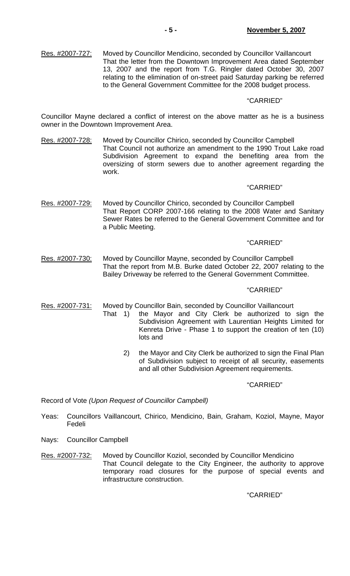Res. #2007-727: Moved by Councillor Mendicino, seconded by Councillor Vaillancourt That the letter from the Downtown Improvement Area dated September 13, 2007 and the report from T.G. Ringler dated October 30, 2007 relating to the elimination of on-street paid Saturday parking be referred to the General Government Committee for the 2008 budget process.

#### "CARRIED"

Councillor Mayne declared a conflict of interest on the above matter as he is a business owner in the Downtown Improvement Area.

Res. #2007-728: Moved by Councillor Chirico, seconded by Councillor Campbell That Council not authorize an amendment to the 1990 Trout Lake road Subdivision Agreement to expand the benefiting area from the oversizing of storm sewers due to another agreement regarding the work.

#### "CARRIED"

Res. #2007-729: Moved by Councillor Chirico, seconded by Councillor Campbell That Report CORP 2007-166 relating to the 2008 Water and Sanitary Sewer Rates be referred to the General Government Committee and for a Public Meeting.

#### "CARRIED"

Res. #2007-730: Moved by Councillor Mayne, seconded by Councillor Campbell That the report from M.B. Burke dated October 22, 2007 relating to the Bailey Driveway be referred to the General Government Committee.

#### "CARRIED"

Res. #2007-731: Moved by Councillor Bain, seconded by Councillor Vaillancourt

- That 1) the Mayor and City Clerk be authorized to sign the Subdivision Agreement with Laurentian Heights Limited for Kenreta Drive - Phase 1 to support the creation of ten (10) lots and
	- 2) the Mayor and City Clerk be authorized to sign the Final Plan of Subdivision subject to receipt of all security, easements and all other Subdivision Agreement requirements.

#### "CARRIED"

Record of Vote *(Upon Request of Councillor Campbell)*

- Yeas: Councillors Vaillancourt, Chirico, Mendicino, Bain, Graham, Koziol, Mayne, Mayor Fedeli
- Nays: Councillor Campbell
- Res. #2007-732: Moved by Councillor Koziol, seconded by Councillor Mendicino That Council delegate to the City Engineer, the authority to approve temporary road closures for the purpose of special events and infrastructure construction.

"CARRIED"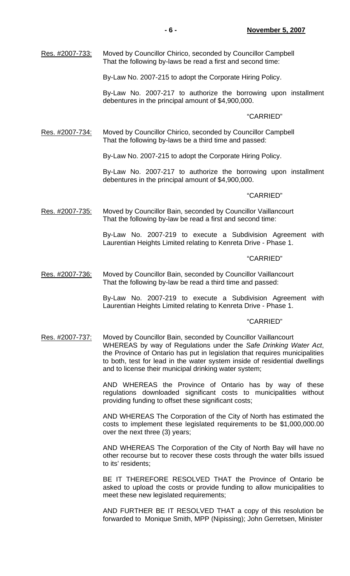Res. #2007-733: Moved by Councillor Chirico, seconded by Councillor Campbell That the following by-laws be read a first and second time:

By-Law No. 2007-215 to adopt the Corporate Hiring Policy.

 By-Law No. 2007-217 to authorize the borrowing upon installment debentures in the principal amount of \$4,900,000.

#### "CARRIED"

Res. #2007-734: Moved by Councillor Chirico, seconded by Councillor Campbell That the following by-laws be a third time and passed:

By-Law No. 2007-215 to adopt the Corporate Hiring Policy.

 By-Law No. 2007-217 to authorize the borrowing upon installment debentures in the principal amount of \$4,900,000.

#### "CARRIED"

Res. #2007-735: Moved by Councillor Bain, seconded by Councillor Vaillancourt That the following by-law be read a first and second time:

> By-Law No. 2007-219 to execute a Subdivision Agreement with Laurentian Heights Limited relating to Kenreta Drive - Phase 1.

#### "CARRIED"

Res. #2007-736: Moved by Councillor Bain, seconded by Councillor Vaillancourt That the following by-law be read a third time and passed:

> By-Law No. 2007-219 to execute a Subdivision Agreement with Laurentian Heights Limited relating to Kenreta Drive - Phase 1.

### "CARRIED"

Res. #2007-737: Moved by Councillor Bain, seconded by Councillor Vaillancourt WHEREAS by way of Regulations under the *Safe Drinking Water Act*, the Province of Ontario has put in legislation that requires municipalities to both, test for lead in the water system inside of residential dwellings and to license their municipal drinking water system;

> AND WHEREAS the Province of Ontario has by way of these regulations downloaded significant costs to municipalities without providing funding to offset these significant costs;

> AND WHEREAS The Corporation of the City of North has estimated the costs to implement these legislated requirements to be \$1,000,000.00 over the next three (3) years;

> AND WHEREAS The Corporation of the City of North Bay will have no other recourse but to recover these costs through the water bills issued to its' residents;

> BE IT THEREFORE RESOLVED THAT the Province of Ontario be asked to upload the costs or provide funding to allow municipalities to meet these new legislated requirements;

> AND FURTHER BE IT RESOLVED THAT a copy of this resolution be forwarded to Monique Smith, MPP (Nipissing); John Gerretsen, Minister